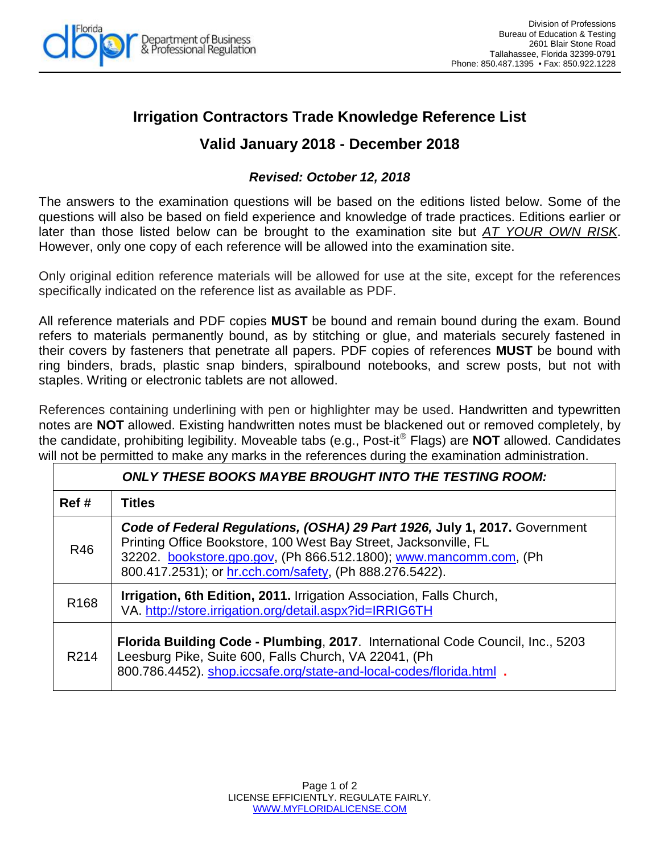

# **Irrigation Contractors Trade Knowledge Reference List**

## **Valid January 2018 - December 2018**

## *Revised: October 12, 2018*

The answers to the examination questions will be based on the editions listed below. Some of the questions will also be based on field experience and knowledge of trade practices. Editions earlier or later than those listed below can be brought to the examination site but *AT YOUR OWN RISK*. However, only one copy of each reference will be allowed into the examination site.

Only original edition reference materials will be allowed for use at the site, except for the references specifically indicated on the reference list as available as PDF.

All reference materials and PDF copies **MUST** be bound and remain bound during the exam. Bound refers to materials permanently bound, as by stitching or glue, and materials securely fastened in their covers by fasteners that penetrate all papers. PDF copies of references **MUST** be bound with ring binders, brads, plastic snap binders, spiralbound notebooks, and screw posts, but not with staples. Writing or electronic tablets are not allowed.

References containing underlining with pen or highlighter may be used. Handwritten and typewritten notes are **NOT** allowed. Existing handwritten notes must be blackened out or removed completely, by the candidate, prohibiting legibility. Moveable tabs (e.g., Post-it<sup>®</sup> Flags) are **NOT** allowed. Candidates will not be permitted to make any marks in the references during the examination administration.

| <b>ONLY THESE BOOKS MAYBE BROUGHT INTO THE TESTING ROOM:</b> |                                                                                                                                                                                                                                                                                |
|--------------------------------------------------------------|--------------------------------------------------------------------------------------------------------------------------------------------------------------------------------------------------------------------------------------------------------------------------------|
| Ref#                                                         | <b>Titles</b>                                                                                                                                                                                                                                                                  |
| R46                                                          | Code of Federal Regulations, (OSHA) 29 Part 1926, July 1, 2017. Government<br>Printing Office Bookstore, 100 West Bay Street, Jacksonville, FL<br>32202. bookstore.gpo.gov, (Ph 866.512.1800); www.mancomm.com, (Ph<br>800.417.2531); or hr.cch.com/safety, (Ph 888.276.5422). |
| R <sub>168</sub>                                             | <b>Irrigation, 6th Edition, 2011.</b> Irrigation Association, Falls Church,<br>VA. http://store.irrigation.org/detail.aspx?id=IRRIG6TH                                                                                                                                         |
| R <sub>2</sub> 14                                            | Florida Building Code - Plumbing, 2017. International Code Council, Inc., 5203<br>Leesburg Pike, Suite 600, Falls Church, VA 22041, (Ph<br>800.786.4452). shop.iccsafe.org/state-and-local-codes/florida.html .                                                                |